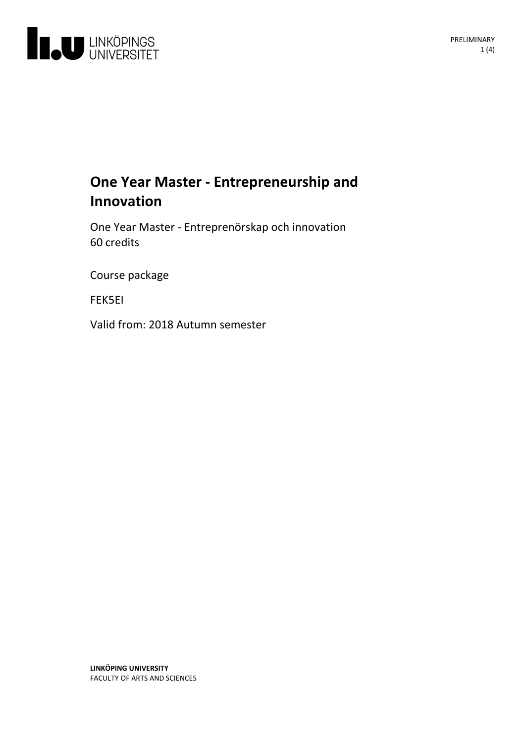

# **One Year Master -Entrepreneurship and Innovation**

One Year Master -Entreprenörskap och innovation 60 credits

Course package

FEK5EI

Valid from: 2018 Autumn semester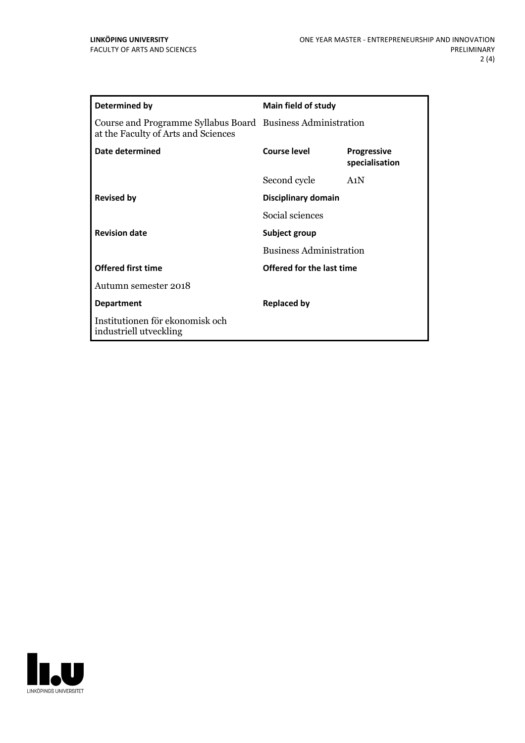| <b>Determined by</b>                                                                               | <b>Main field of study</b>                      |                               |
|----------------------------------------------------------------------------------------------------|-------------------------------------------------|-------------------------------|
| Course and Programme Syllabus Board Business Administration<br>at the Faculty of Arts and Sciences |                                                 |                               |
| Date determined                                                                                    | Course level                                    | Progressive<br>specialisation |
|                                                                                                    | Second cycle                                    | A <sub>1</sub> N              |
| <b>Revised by</b>                                                                                  | Disciplinary domain                             |                               |
|                                                                                                    | Social sciences                                 |                               |
| <b>Revision date</b>                                                                               | Subject group<br><b>Business Administration</b> |                               |
|                                                                                                    |                                                 |                               |
| <b>Offered first time</b>                                                                          | Offered for the last time                       |                               |
| Autumn semester 2018                                                                               |                                                 |                               |
| <b>Department</b>                                                                                  | <b>Replaced by</b>                              |                               |
| Institutionen för ekonomisk och<br>industriell utveckling                                          |                                                 |                               |

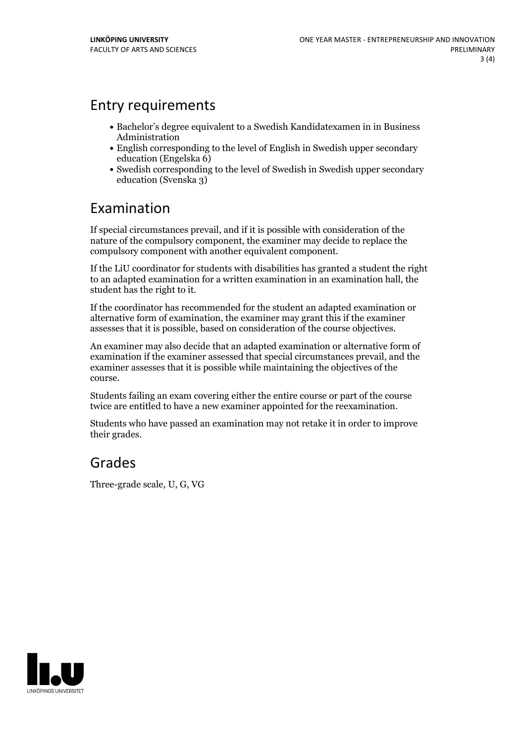#### Entry requirements

- Bachelor's degree equivalent to a Swedish Kandidatexamen in in Business Administration
- English corresponding to the level of English in Swedish upper secondary education (Engelska 6)
- Swedish corresponding to the level of Swedish in Swedish upper secondary education (Svenska 3)

### Examination

If special circumstances prevail, and if it is possible with consideration of the nature of the compulsory component, the examiner may decide to replace the compulsory component with another equivalent component.

If the LiU coordinator for students with disabilities has granted a student the right to an adapted examination for a written examination in an examination hall, the student has the right to it.

If the coordinator has recommended for the student an adapted examination or alternative form of examination, the examiner may grant this if the examiner assesses that it is possible, based on consideration of the course objectives.

An examiner may also decide that an adapted examination or alternative form of examination if the examiner assessed that special circumstances prevail, and the examiner assesses that it is possible while maintaining the objectives of the course.

Students failing an exam covering either the entire course or part of the course twice are entitled to have a new examiner appointed for the reexamination.

Students who have passed an examination may not retake it in order to improve their grades.

#### Grades

Three-grade scale, U, G, VG